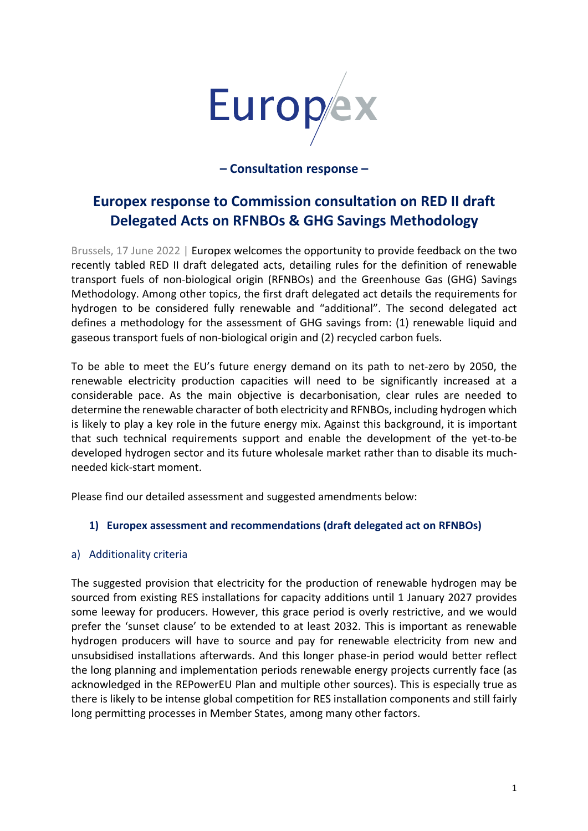

**– Consultation response –** 

# **Europex response to Commission consultation on RED II draft Delegated Acts on RFNBOs & GHG Savings Methodology**

Brussels, 17 June 2022 | Europex welcomes the opportunity to provide feedback on the two recently tabled RED II draft delegated acts, detailing rules for the definition of renewable transport fuels of non-biological origin (RFNBOs) and the Greenhouse Gas (GHG) Savings Methodology. Among other topics, the first draft delegated act details the requirements for hydrogen to be considered fully renewable and "additional". The second delegated act defines a methodology for the assessment of GHG savings from: (1) renewable liquid and gaseous transport fuels of non-biological origin and (2) recycled carbon fuels.

To be able to meet the EU's future energy demand on its path to net-zero by 2050, the renewable electricity production capacities will need to be significantly increased at a considerable pace. As the main objective is decarbonisation, clear rules are needed to determine the renewable character of both electricity and RFNBOs, including hydrogen which is likely to play a key role in the future energy mix. Against this background, it is important that such technical requirements support and enable the development of the yet-to-be developed hydrogen sector and its future wholesale market rather than to disable its muchneeded kick-start moment.

Please find our detailed assessment and suggested amendments below:

# **1) Europex assessment and recommendations (draft delegated act on RFNBOs)**

# a) Additionality criteria

The suggested provision that electricity for the production of renewable hydrogen may be sourced from existing RES installations for capacity additions until 1 January 2027 provides some leeway for producers. However, this grace period is overly restrictive, and we would prefer the 'sunset clause' to be extended to at least 2032. This is important as renewable hydrogen producers will have to source and pay for renewable electricity from new and unsubsidised installations afterwards. And this longer phase-in period would better reflect the long planning and implementation periods renewable energy projects currently face (as acknowledged in the REPowerEU Plan and multiple other sources). This is especially true as there is likely to be intense global competition for RES installation components and still fairly long permitting processes in Member States, among many other factors.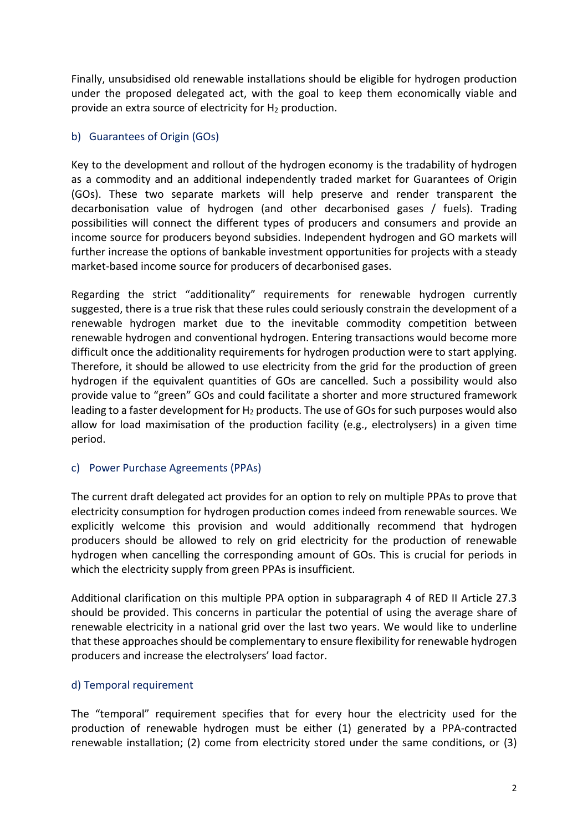Finally, unsubsidised old renewable installations should be eligible for hydrogen production under the proposed delegated act, with the goal to keep them economically viable and provide an extra source of electricity for H<sup>2</sup> production.

# b) Guarantees of Origin (GOs)

Key to the development and rollout of the hydrogen economy is the tradability of hydrogen as a commodity and an additional independently traded market for Guarantees of Origin (GOs). These two separate markets will help preserve and render transparent the decarbonisation value of hydrogen (and other decarbonised gases / fuels). Trading possibilities will connect the different types of producers and consumers and provide an income source for producers beyond subsidies. Independent hydrogen and GO markets will further increase the options of bankable investment opportunities for projects with a steady market-based income source for producers of decarbonised gases.

Regarding the strict "additionality" requirements for renewable hydrogen currently suggested, there is a true risk that these rules could seriously constrain the development of a renewable hydrogen market due to the inevitable commodity competition between renewable hydrogen and conventional hydrogen. Entering transactions would become more difficult once the additionality requirements for hydrogen production were to start applying. Therefore, it should be allowed to use electricity from the grid for the production of green hydrogen if the equivalent quantities of GOs are cancelled. Such a possibility would also provide value to "green" GOs and could facilitate a shorter and more structured framework leading to a faster development for  $H_2$  products. The use of GOs for such purposes would also allow for load maximisation of the production facility (e.g., electrolysers) in a given time period.

# c) Power Purchase Agreements (PPAs)

The current draft delegated act provides for an option to rely on multiple PPAs to prove that electricity consumption for hydrogen production comes indeed from renewable sources. We explicitly welcome this provision and would additionally recommend that hydrogen producers should be allowed to rely on grid electricity for the production of renewable hydrogen when cancelling the corresponding amount of GOs. This is crucial for periods in which the electricity supply from green PPAs is insufficient.

Additional clarification on this multiple PPA option in subparagraph 4 of RED II Article 27.3 should be provided. This concerns in particular the potential of using the average share of renewable electricity in a national grid over the last two years. We would like to underline that these approaches should be complementary to ensure flexibility for renewable hydrogen producers and increase the electrolysers' load factor.

#### d) Temporal requirement

The "temporal" requirement specifies that for every hour the electricity used for the production of renewable hydrogen must be either (1) generated by a PPA-contracted renewable installation; (2) come from electricity stored under the same conditions, or (3)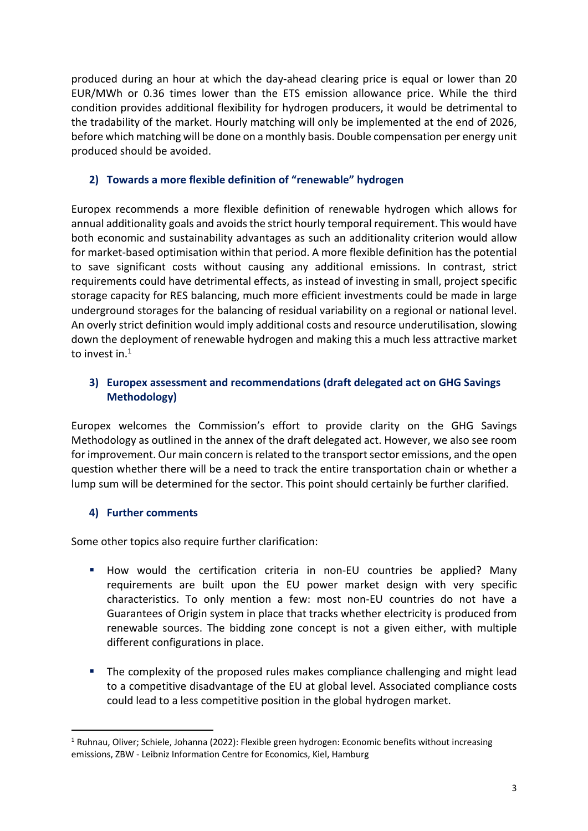produced during an hour at which the day-ahead clearing price is equal or lower than 20 EUR/MWh or 0.36 times lower than the ETS emission allowance price. While the third condition provides additional flexibility for hydrogen producers, it would be detrimental to the tradability of the market. Hourly matching will only be implemented at the end of 2026, before which matching will be done on a monthly basis. Double compensation per energy unit produced should be avoided.

### **2) Towards a more flexible definition of "renewable" hydrogen**

Europex recommends a more flexible definition of renewable hydrogen which allows for annual additionality goals and avoids the strict hourly temporal requirement. This would have both economic and sustainability advantages as such an additionality criterion would allow for market-based optimisation within that period. A more flexible definition has the potential to save significant costs without causing any additional emissions. In contrast, strict requirements could have detrimental effects, as instead of investing in small, project specific storage capacity for RES balancing, much more efficient investments could be made in large underground storages for the balancing of residual variability on a regional or national level. An overly strict definition would imply additional costs and resource underutilisation, slowing down the deployment of renewable hydrogen and making this a much less attractive market to invest in.<sup>1</sup>

# **3) Europex assessment and recommendations (draft delegated act on GHG Savings Methodology)**

Europex welcomes the Commission's effort to provide clarity on the GHG Savings Methodology as outlined in the annex of the draft delegated act. However, we also see room for improvement. Our main concern is related to the transport sector emissions, and the open question whether there will be a need to track the entire transportation chain or whether a lump sum will be determined for the sector. This point should certainly be further clarified.

# **4) Further comments**

Some other topics also require further clarification:

- § How would the certification criteria in non-EU countries be applied? Many requirements are built upon the EU power market design with very specific characteristics. To only mention a few: most non-EU countries do not have a Guarantees of Origin system in place that tracks whether electricity is produced from renewable sources. The bidding zone concept is not a given either, with multiple different configurations in place.
- **•** The complexity of the proposed rules makes compliance challenging and might lead to a competitive disadvantage of the EU at global level. Associated compliance costs could lead to a less competitive position in the global hydrogen market.

 $1$  Ruhnau, Oliver; Schiele, Johanna (2022): Flexible green hydrogen: Economic benefits without increasing emissions, ZBW - Leibniz Information Centre for Economics, Kiel, Hamburg